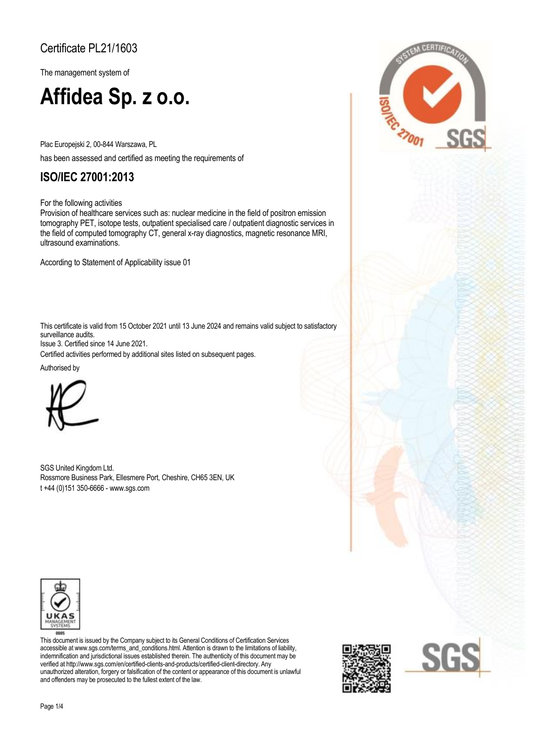### Certificate PL21/1603

The management system of

# **Affidea Sp. z o.o.**

Plac Europejski 2, 00-844 Warszawa, PL

has been assessed and certified as meeting the requirements of

### **ISO/IEC 27001:2013**

For the following activities

Provision of healthcare services such as: nuclear medicine in the field of positron emission tomography PET, isotope tests, outpatient specialised care / outpatient diagnostic services in the field of computed tomography CT, general x-ray diagnostics, magnetic resonance MRI, ultrasound examinations.

According to Statement of Applicability issue 01

This certificate is valid from 15 October 2021 until 13 June 2024 and remains valid subject to satisfactory surveillance audits. Issue 3. Certified since 14 June 2021.

Certified activities performed by additional sites listed on subsequent pages.

Authorised by



SGS United Kingdom Ltd. Rossmore Business Park, Ellesmere Port, Cheshire, CH65 3EN, UK t +44 (0)151 350-6666 - www.sgs.com



This document is issued by the Company subject to its General Conditions of Certification Services accessible at www.sgs.com/terms\_and\_conditions.html. Attention is drawn to the limitations of liability, indemnification and jurisdictional issues established therein. The authenticity of this document may be verified at http://www.sgs.com/en/certified-clients-and-products/certified-client-directory. Any unauthorized alteration, forgery or falsification of the content or appearance of this document is unlawful and offenders may be prosecuted to the fullest extent of the law.



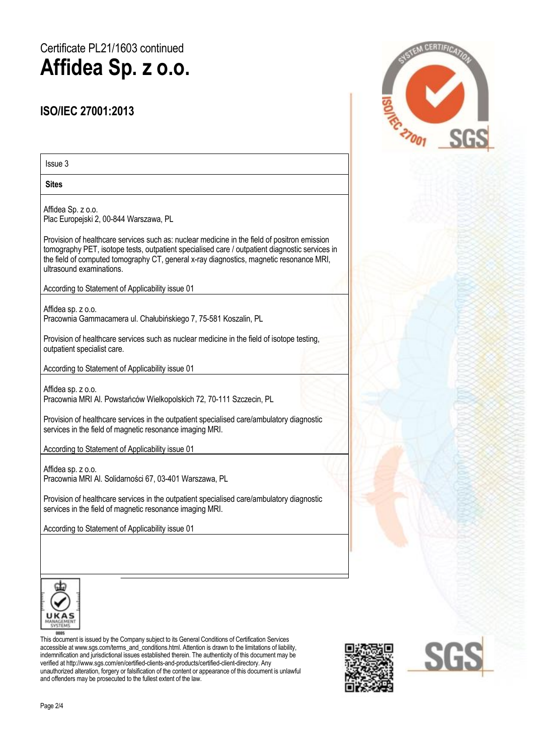# Certificate PL21/1603 continued **Affidea Sp. z o.o.**

#### **ISO/IEC 27001:2013**

Issue 3

**Sites** 

Affidea Sp. z o.o. Plac Europejski 2, 00-844 Warszawa, PL

Provision of healthcare services such as: nuclear medicine in the field of positron emission tomography PET, isotope tests, outpatient specialised care / outpatient diagnostic services in the field of computed tomography CT, general x-ray diagnostics, magnetic resonance MRI, ultrasound examinations.

According to Statement of Applicability issue 01

Affidea sp. z o.o. Pracownia Gammacamera ul. Chałubińskiego 7, 75-581 Koszalin, PL

Provision of healthcare services such as nuclear medicine in the field of isotope testing, outpatient specialist care.

According to Statement of Applicability issue 01

Affidea sp. z o.o. Pracownia MRI Al. Powstańców Wielkopolskich 72, 70-111 Szczecin, PL

Provision of healthcare services in the outpatient specialised care/ambulatory diagnostic services in the field of magnetic resonance imaging MRI.

According to Statement of Applicability issue 01

Affidea sp. z o.o. Pracownia MRI Al. Solidarności 67, 03-401 Warszawa, PL

Provision of healthcare services in the outpatient specialised care/ambulatory diagnostic services in the field of magnetic resonance imaging MRI.

According to Statement of Applicability issue 01



This document is issued by the Company subject to its General Conditions of Certification Services accessible at www.sgs.com/terms\_and\_conditions.html. Attention is drawn to the limitations of liability, indemnification and jurisdictional issues established therein. The authenticity of this document may be verified at http://www.sgs.com/en/certified-clients-and-products/certified-client-directory. Any unauthorized alteration, forgery or falsification of the content or appearance of this document is unlawful and offenders may be prosecuted to the fullest extent of the law.





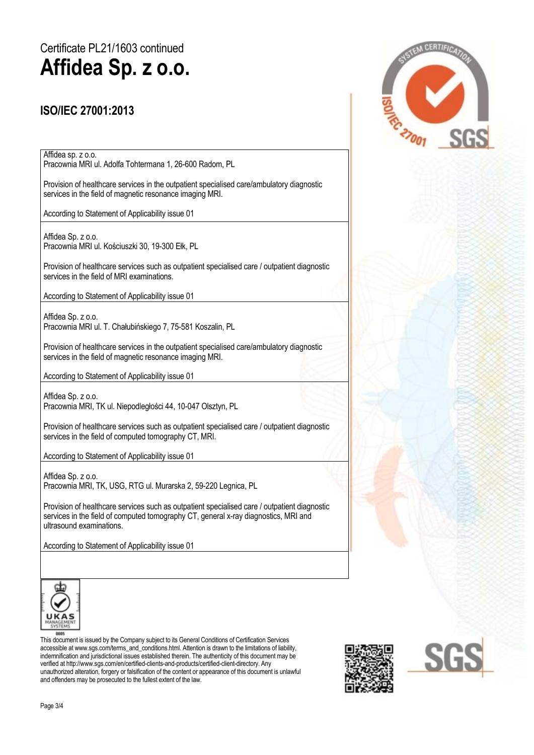# Certificate PL21/1603 continued **Affidea Sp. z o.o.**

#### **ISO/IEC 27001:2013**

Affidea sp. z o.o. Pracownia MRI ul. Adolfa Tohtermana 1, 26-600 Radom, PL

Provision of healthcare services in the outpatient specialised care/ambulatory diagnostic services in the field of magnetic resonance imaging MRI.

According to Statement of Applicability issue 01

Affidea Sp. z o.o. Pracownia MRI ul. Kościuszki 30, 19-300 Ełk, PL

Provision of healthcare services such as outpatient specialised care / outpatient diagnostic services in the field of MRI examinations.

According to Statement of Applicability issue 01

Affidea Sp. z o.o. Pracownia MRI ul. T. Chałubińskiego 7, 75-581 Koszalin, PL

Provision of healthcare services in the outpatient specialised care/ambulatory diagnostic services in the field of magnetic resonance imaging MRI.

According to Statement of Applicability issue 01

Affidea Sp. z o.o. Pracownia MRI, TK ul. Niepodległości 44, 10-047 Olsztyn, PL

Provision of healthcare services such as outpatient specialised care / outpatient diagnostic services in the field of computed tomography CT, MRI.

According to Statement of Applicability issue 01

Affidea Sp. z o.o. Pracownia MRI, TK, USG, RTG ul. Murarska 2, 59-220 Legnica, PL

Provision of healthcare services such as outpatient specialised care / outpatient diagnostic services in the field of computed tomography CT, general x-ray diagnostics, MRI and ultrasound examinations.

According to Statement of Applicability issue 01



This document is issued by the Company subject to its General Conditions of Certification Services accessible at www.sgs.com/terms\_and\_conditions.html. Attention is drawn to the limitations of liability, indemnification and jurisdictional issues established therein. The authenticity of this document may be verified at http://www.sgs.com/en/certified-clients-and-products/certified-client-directory. Any unauthorized alteration, forgery or falsification of the content or appearance of this document is unlawful and offenders may be prosecuted to the fullest extent of the law.